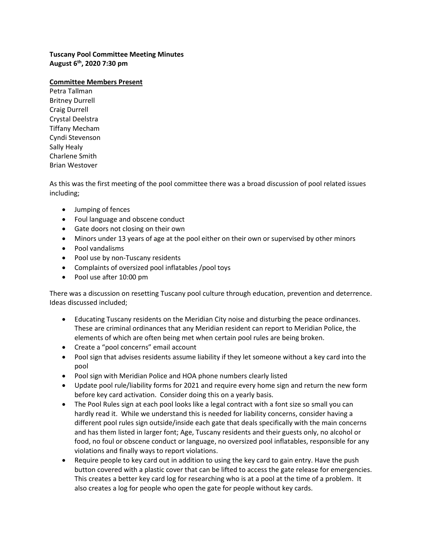**Tuscany Pool Committee Meeting Minutes August 6th, 2020 7:30 pm** 

## **Committee Members Present**

Petra Tallman Britney Durrell Craig Durrell Crystal Deelstra Tiffany Mecham Cyndi Stevenson Sally Healy Charlene Smith Brian Westover

As this was the first meeting of the pool committee there was a broad discussion of pool related issues including;

- Jumping of fences
- Foul language and obscene conduct
- Gate doors not closing on their own
- Minors under 13 years of age at the pool either on their own or supervised by other minors
- Pool vandalisms
- Pool use by non-Tuscany residents
- Complaints of oversized pool inflatables /pool toys
- Pool use after 10:00 pm

There was a discussion on resetting Tuscany pool culture through education, prevention and deterrence. Ideas discussed included;

- Educating Tuscany residents on the Meridian City noise and disturbing the peace ordinances. These are criminal ordinances that any Meridian resident can report to Meridian Police, the elements of which are often being met when certain pool rules are being broken.
- Create a "pool concerns" email account
- Pool sign that advises residents assume liability if they let someone without a key card into the pool
- Pool sign with Meridian Police and HOA phone numbers clearly listed
- Update pool rule/liability forms for 2021 and require every home sign and return the new form before key card activation. Consider doing this on a yearly basis.
- The Pool Rules sign at each pool looks like a legal contract with a font size so small you can hardly read it. While we understand this is needed for liability concerns, consider having a different pool rules sign outside/inside each gate that deals specifically with the main concerns and has them listed in larger font; Age, Tuscany residents and their guests only, no alcohol or food, no foul or obscene conduct or language, no oversized pool inflatables, responsible for any violations and finally ways to report violations.
- Require people to key card out in addition to using the key card to gain entry. Have the push button covered with a plastic cover that can be lifted to access the gate release for emergencies. This creates a better key card log for researching who is at a pool at the time of a problem. It also creates a log for people who open the gate for people without key cards.